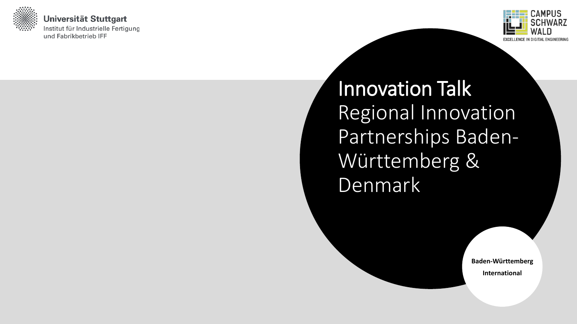

Universität Stuttgart Institut für Industrielle Fertigung und Fabrikbetrieb IFF



Innovation Talk Regional Innovation Partnerships Baden-Württemberg & Denmark

> **Baden-Württemberg International**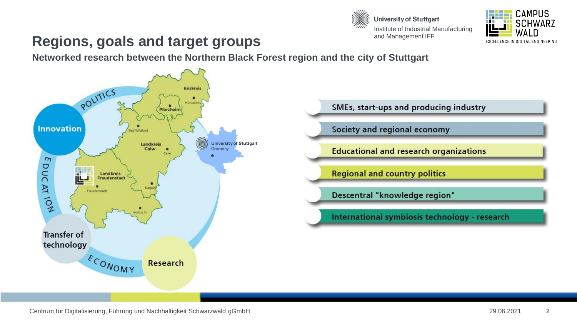



#### **Regions, goals and target groups**

**Networked research between the Northern Black Forest region and the city of Stuttgart**





Society and regional economy

**Educational and research organizations** 

**Regional and country politics** 

Descentral "knowledge region"

International symbiosis technology - research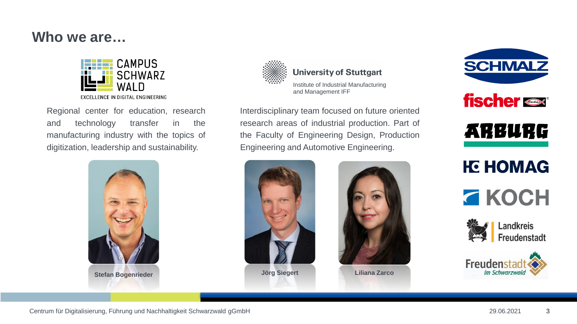#### **Who we are…**



Regional center for education, research and technology transfer in the manufacturing industry with the topics of digitization, leadership and sustainability.





**University of Stuttgart** 

Institute of Industrial Manufacturing and Management IFF

Interdisciplinary team focused on future oriented research areas of industrial production. Part of the Faculty of Engineering Design, Production Engineering and Automotive Engineering.





**Liliana Zarco**





## **KG HOMAG**





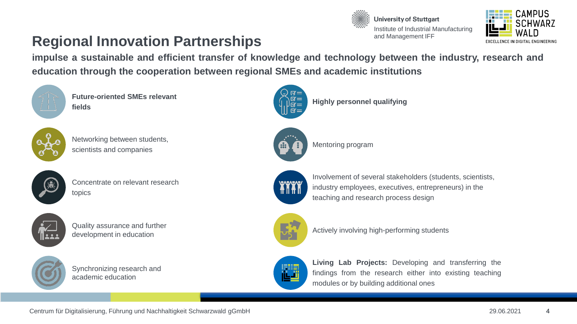



#### **Regional Innovation Partnerships**

**impulse a sustainable and efficient transfer of knowledge and technology between the industry, research and education through the cooperation between regional SMEs and academic institutions**



**Future-oriented SMEs relevant fields**



Networking between students, the contract of the contract of the contract of the contract of the contract of the contract of the contract of the contract of the contract of the contract of the contract of the contract of t scientists and companies



Concentrate on relevant research topics



Quality assurance and further development in education



Synchronizing research and academic education



**Highly personnel qualifying**





Involvement of several stakeholders (students, scientists, industry employees, executives, entrepreneurs) in the teaching and research process design



Actively involving high-performing students



**Living Lab Projects:** Developing and transferring the findings from the research either into existing teaching modules or by building additional ones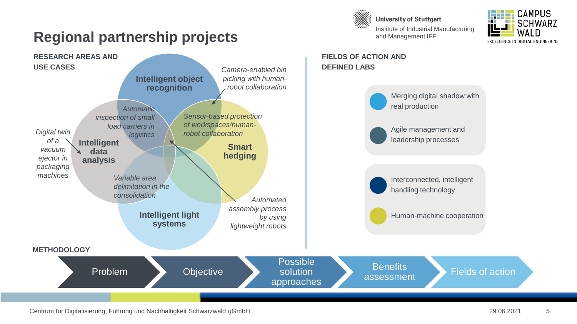



### **Regional partnership projects**



Centrum für Digitalisierung, Führung und Nachhaltigkeit Schwarzwald gGmbH 29.06.2021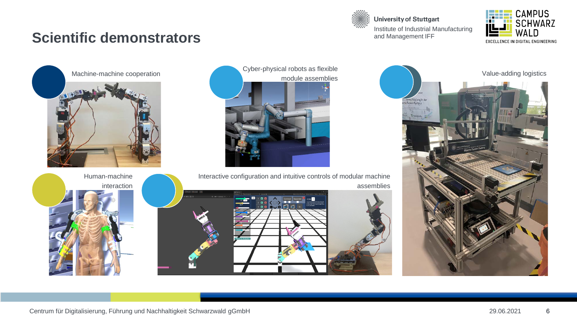#### **Scientific demonstrators**



**University of Stuttgart** Institute of Industrial Manufacturing and Management IFF





interaction

Cyber-physical robots as flexible



Interactive configuration and intuitive controls of modular machine assemblies



Value-adding logistics re wertschöpfung in de<br>Arix Fusion Factory